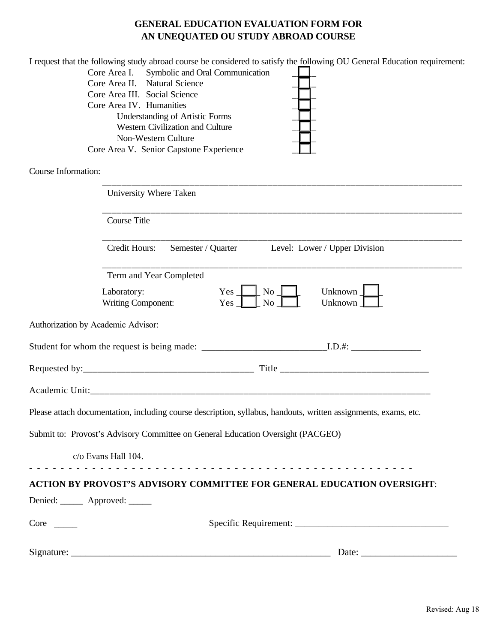## **GENERAL EDUCATION EVALUATION FORM FOR AN UNEQUATED OU STUDY ABROAD COURSE**

|                     | I request that the following study abroad course be considered to satisfy the following OU General Education requirement:                                                                                                                                                                                                                                                                                                                                                                                                                                                 |
|---------------------|---------------------------------------------------------------------------------------------------------------------------------------------------------------------------------------------------------------------------------------------------------------------------------------------------------------------------------------------------------------------------------------------------------------------------------------------------------------------------------------------------------------------------------------------------------------------------|
|                     | Core Area I. Symbolic and Oral Communication                                                                                                                                                                                                                                                                                                                                                                                                                                                                                                                              |
|                     | Core Area II. Natural Science<br>Core Area III. Social Science                                                                                                                                                                                                                                                                                                                                                                                                                                                                                                            |
|                     | Core Area IV. Humanities                                                                                                                                                                                                                                                                                                                                                                                                                                                                                                                                                  |
|                     | <b>Understanding of Artistic Forms</b>                                                                                                                                                                                                                                                                                                                                                                                                                                                                                                                                    |
|                     | Western Civilization and Culture                                                                                                                                                                                                                                                                                                                                                                                                                                                                                                                                          |
|                     | Non-Western Culture                                                                                                                                                                                                                                                                                                                                                                                                                                                                                                                                                       |
|                     | Core Area V. Senior Capstone Experience                                                                                                                                                                                                                                                                                                                                                                                                                                                                                                                                   |
| Course Information: |                                                                                                                                                                                                                                                                                                                                                                                                                                                                                                                                                                           |
|                     | University Where Taken                                                                                                                                                                                                                                                                                                                                                                                                                                                                                                                                                    |
|                     | <b>Course Title</b>                                                                                                                                                                                                                                                                                                                                                                                                                                                                                                                                                       |
|                     | Credit Hours:<br>Semester / Quarter Level: Lower / Upper Division                                                                                                                                                                                                                                                                                                                                                                                                                                                                                                         |
|                     | Term and Year Completed                                                                                                                                                                                                                                                                                                                                                                                                                                                                                                                                                   |
|                     | Unknown $\Box$<br>$Yes \perp$<br>$No-$<br>Laboratory:<br>N <sub>o</sub><br><b>Writing Component:</b><br>$Yes$  <br>Unknown $\Box$                                                                                                                                                                                                                                                                                                                                                                                                                                         |
|                     | Authorization by Academic Advisor:                                                                                                                                                                                                                                                                                                                                                                                                                                                                                                                                        |
|                     |                                                                                                                                                                                                                                                                                                                                                                                                                                                                                                                                                                           |
|                     |                                                                                                                                                                                                                                                                                                                                                                                                                                                                                                                                                                           |
|                     |                                                                                                                                                                                                                                                                                                                                                                                                                                                                                                                                                                           |
|                     | Please attach documentation, including course description, syllabus, handouts, written assignments, exams, etc.                                                                                                                                                                                                                                                                                                                                                                                                                                                           |
|                     | Submit to: Provost's Advisory Committee on General Education Oversight (PACGEO)                                                                                                                                                                                                                                                                                                                                                                                                                                                                                           |
|                     | c/o Evans Hall 104.                                                                                                                                                                                                                                                                                                                                                                                                                                                                                                                                                       |
|                     |                                                                                                                                                                                                                                                                                                                                                                                                                                                                                                                                                                           |
|                     | <b>ACTION BY PROVOST'S ADVISORY COMMITTEE FOR GENERAL EDUCATION OVERSIGHT:</b><br>Denied: _______ Approved: _____                                                                                                                                                                                                                                                                                                                                                                                                                                                         |
| Core                |                                                                                                                                                                                                                                                                                                                                                                                                                                                                                                                                                                           |
|                     |                                                                                                                                                                                                                                                                                                                                                                                                                                                                                                                                                                           |
| Signature:          | Date: $\frac{1}{\sqrt{1-\frac{1}{2}} \cdot \frac{1}{2} \cdot \frac{1}{2} \cdot \frac{1}{2} \cdot \frac{1}{2} \cdot \frac{1}{2} \cdot \frac{1}{2} \cdot \frac{1}{2} \cdot \frac{1}{2} \cdot \frac{1}{2} \cdot \frac{1}{2} \cdot \frac{1}{2} \cdot \frac{1}{2} \cdot \frac{1}{2} \cdot \frac{1}{2} \cdot \frac{1}{2} \cdot \frac{1}{2} \cdot \frac{1}{2} \cdot \frac{1}{2} \cdot \frac{1}{2} \cdot \frac{1}{2} \cdot \frac{1}{2} \cdot \frac{1}{2}$<br><u> 1989 - Jan James James, margaret eta idazleari zuen 1989 - Erresuma eta Erresuma eta Erresuma eta Erresuma e</u> |